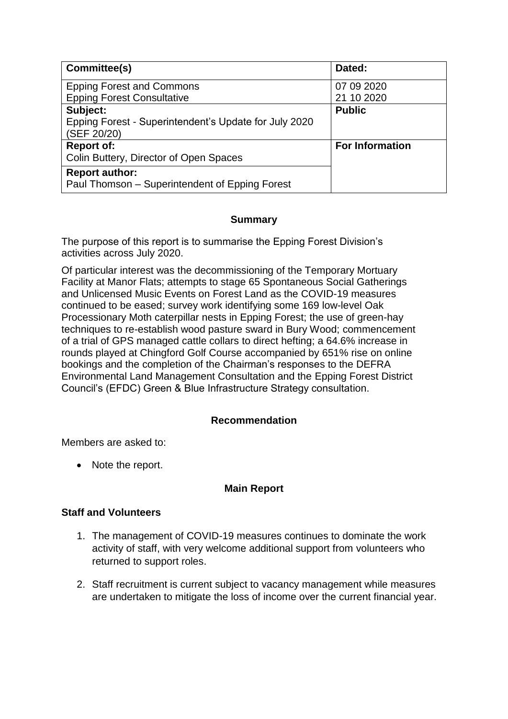| Committee(s)                                          | Dated:                 |
|-------------------------------------------------------|------------------------|
| <b>Epping Forest and Commons</b>                      | 07 09 2020             |
| <b>Epping Forest Consultative</b>                     | 21 10 2020             |
| Subject:                                              | <b>Public</b>          |
| Epping Forest - Superintendent's Update for July 2020 |                        |
| (SEF 20/20)                                           |                        |
| <b>Report of:</b>                                     | <b>For Information</b> |
| Colin Buttery, Director of Open Spaces                |                        |
| <b>Report author:</b>                                 |                        |
| Paul Thomson - Superintendent of Epping Forest        |                        |

## **Summary**

The purpose of this report is to summarise the Epping Forest Division's activities across July 2020.

Of particular interest was the decommissioning of the Temporary Mortuary Facility at Manor Flats; attempts to stage 65 Spontaneous Social Gatherings and Unlicensed Music Events on Forest Land as the COVID-19 measures continued to be eased; survey work identifying some 169 low-level Oak Processionary Moth caterpillar nests in Epping Forest; the use of green-hay techniques to re-establish wood pasture sward in Bury Wood; commencement of a trial of GPS managed cattle collars to direct hefting; a 64.6% increase in rounds played at Chingford Golf Course accompanied by 651% rise on online bookings and the completion of the Chairman's responses to the DEFRA Environmental Land Management Consultation and the Epping Forest District Council's (EFDC) Green & Blue Infrastructure Strategy consultation.

# **Recommendation**

Members are asked to:

• Note the report.

### **Main Report**

## **Staff and Volunteers**

- 1. The management of COVID-19 measures continues to dominate the work activity of staff, with very welcome additional support from volunteers who returned to support roles.
- 2. Staff recruitment is current subject to vacancy management while measures are undertaken to mitigate the loss of income over the current financial year.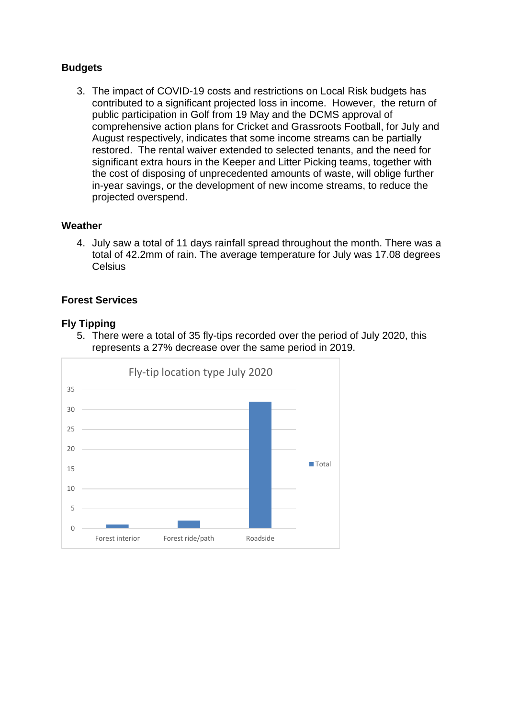## **Budgets**

3. The impact of COVID-19 costs and restrictions on Local Risk budgets has contributed to a significant projected loss in income. However, the return of public participation in Golf from 19 May and the DCMS approval of comprehensive action plans for Cricket and Grassroots Football, for July and August respectively, indicates that some income streams can be partially restored. The rental waiver extended to selected tenants, and the need for significant extra hours in the Keeper and Litter Picking teams, together with the cost of disposing of unprecedented amounts of waste, will oblige further in-year savings, or the development of new income streams, to reduce the projected overspend.

### **Weather**

4. July saw a total of 11 days rainfall spread throughout the month. There was a total of 42.2mm of rain. The average temperature for July was 17.08 degrees **Celsius** 

#### **Forest Services**

#### **Fly Tipping**

5. There were a total of 35 fly-tips recorded over the period of July 2020, this represents a 27% decrease over the same period in 2019.

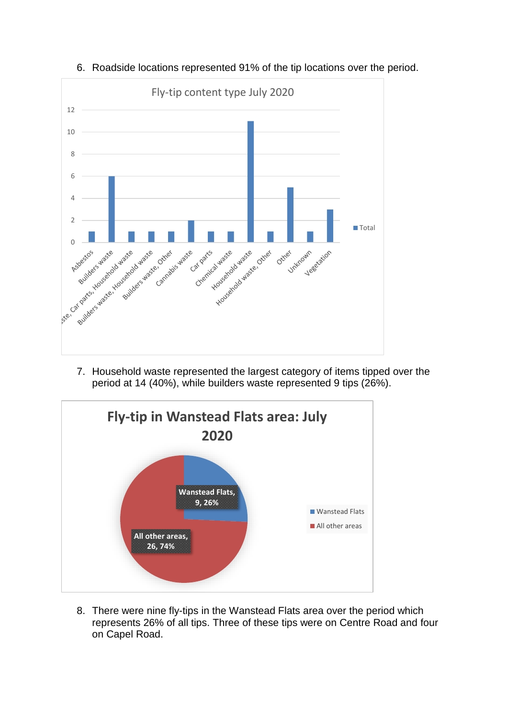

6. Roadside locations represented 91% of the tip locations over the period.

7. Household waste represented the largest category of items tipped over the period at 14 (40%), while builders waste represented 9 tips (26%).



8. There were nine fly-tips in the Wanstead Flats area over the period which represents 26% of all tips. Three of these tips were on Centre Road and four on Capel Road.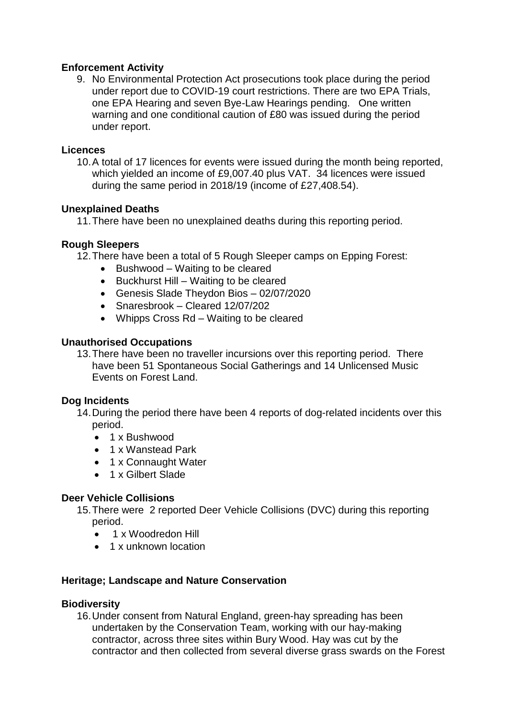## **Enforcement Activity**

9. No Environmental Protection Act prosecutions took place during the period under report due to COVID-19 court restrictions. There are two EPA Trials, one EPA Hearing and seven Bye-Law Hearings pending. One written warning and one conditional caution of £80 was issued during the period under report.

#### **Licences**

10.A total of 17 licences for events were issued during the month being reported, which yielded an income of £9,007.40 plus VAT. 34 licences were issued during the same period in 2018/19 (income of £27,408.54).

### **Unexplained Deaths**

11.There have been no unexplained deaths during this reporting period.

## **Rough Sleepers**

12.There have been a total of 5 Rough Sleeper camps on Epping Forest:

- Bushwood Waiting to be cleared
- Buckhurst Hill Waiting to be cleared
- Genesis Slade Theydon Bios 02/07/2020
- Snaresbrook Cleared 12/07/202
- Whipps Cross Rd Waiting to be cleared

## **Unauthorised Occupations**

13.There have been no traveller incursions over this reporting period. There have been 51 Spontaneous Social Gatherings and 14 Unlicensed Music Events on Forest Land.

# **Dog Incidents**

- 14.During the period there have been 4 reports of dog-related incidents over this period.
	- 1 x Bushwood
	- 1 x Wanstead Park
	- 1 x Connaught Water
	- 1 x Gilbert Slade

### **Deer Vehicle Collisions**

- 15.There were 2 reported Deer Vehicle Collisions (DVC) during this reporting period.
	- 1 x Woodredon Hill
	- 1 x unknown location

# **Heritage; Landscape and Nature Conservation**

### **Biodiversity**

16.Under consent from Natural England, green-hay spreading has been undertaken by the Conservation Team, working with our hay-making contractor, across three sites within Bury Wood. Hay was cut by the contractor and then collected from several diverse grass swards on the Forest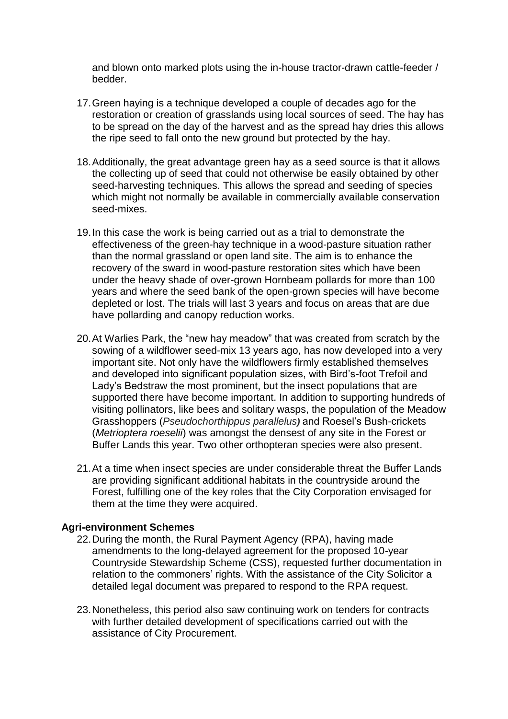and blown onto marked plots using the in-house tractor-drawn cattle-feeder / bedder.

- 17.Green haying is a technique developed a couple of decades ago for the restoration or creation of grasslands using local sources of seed. The hay has to be spread on the day of the harvest and as the spread hay dries this allows the ripe seed to fall onto the new ground but protected by the hay.
- 18.Additionally, the great advantage green hay as a seed source is that it allows the collecting up of seed that could not otherwise be easily obtained by other seed-harvesting techniques. This allows the spread and seeding of species which might not normally be available in commercially available conservation seed-mixes.
- 19.In this case the work is being carried out as a trial to demonstrate the effectiveness of the green-hay technique in a wood-pasture situation rather than the normal grassland or open land site. The aim is to enhance the recovery of the sward in wood-pasture restoration sites which have been under the heavy shade of over-grown Hornbeam pollards for more than 100 years and where the seed bank of the open-grown species will have become depleted or lost. The trials will last 3 years and focus on areas that are due have pollarding and canopy reduction works.
- 20.At Warlies Park, the "new hay meadow" that was created from scratch by the sowing of a wildflower seed-mix 13 years ago, has now developed into a very important site. Not only have the wildflowers firmly established themselves and developed into significant population sizes, with Bird's-foot Trefoil and Lady's Bedstraw the most prominent, but the insect populations that are supported there have become important. In addition to supporting hundreds of visiting pollinators, like bees and solitary wasps, the population of the Meadow Grasshoppers (*Pseudochorthippus parallelus)* and Roesel's Bush-crickets (*Metrioptera roeselii*) was amongst the densest of any site in the Forest or Buffer Lands this year. Two other orthopteran species were also present.
- 21.At a time when insect species are under considerable threat the Buffer Lands are providing significant additional habitats in the countryside around the Forest, fulfilling one of the key roles that the City Corporation envisaged for them at the time they were acquired.

### **Agri-environment Schemes**

- 22.During the month, the Rural Payment Agency (RPA), having made amendments to the long-delayed agreement for the proposed 10-year Countryside Stewardship Scheme (CSS), requested further documentation in relation to the commoners' rights. With the assistance of the City Solicitor a detailed legal document was prepared to respond to the RPA request.
- 23.Nonetheless, this period also saw continuing work on tenders for contracts with further detailed development of specifications carried out with the assistance of City Procurement.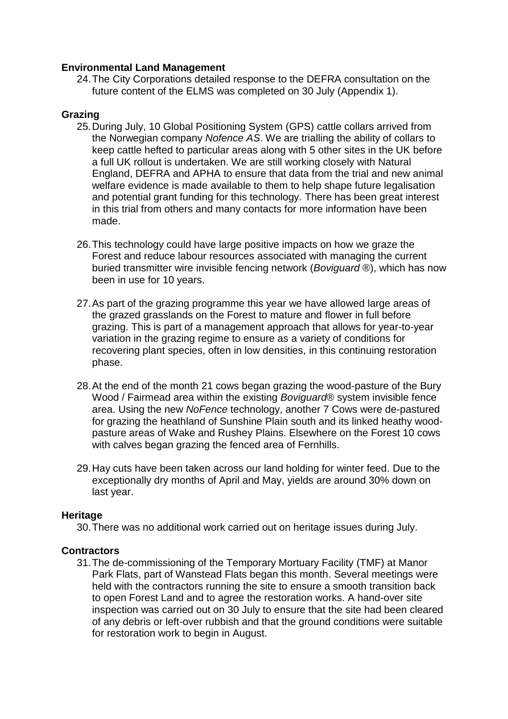#### **Environmental Land Management**

24.The City Corporations detailed response to the DEFRA consultation on the future content of the ELMS was completed on 30 July (Appendix 1).

#### **Grazing**

- 25.During July, 10 Global Positioning System (GPS) cattle collars arrived from the Norwegian company *Nofence AS*. We are trialling the ability of collars to keep cattle hefted to particular areas along with 5 other sites in the UK before a full UK rollout is undertaken. We are still working closely with Natural England, DEFRA and APHA to ensure that data from the trial and new animal welfare evidence is made available to them to help shape future legalisation and potential grant funding for this technology. There has been great interest in this trial from others and many contacts for more information have been made.
- 26.This technology could have large positive impacts on how we graze the Forest and reduce labour resources associated with managing the current buried transmitter wire invisible fencing network (*Boviguard* ®), which has now been in use for 10 years.
- 27.As part of the grazing programme this year we have allowed large areas of the grazed grasslands on the Forest to mature and flower in full before grazing. This is part of a management approach that allows for year-to-year variation in the grazing regime to ensure as a variety of conditions for recovering plant species, often in low densities, in this continuing restoration phase.
- 28.At the end of the month 21 cows began grazing the wood-pasture of the Bury Wood / Fairmead area within the existing *Boviguard*® system invisible fence area. Using the new *NoFence* technology, another 7 Cows were de-pastured for grazing the heathland of Sunshine Plain south and its linked heathy woodpasture areas of Wake and Rushey Plains. Elsewhere on the Forest 10 cows with calves began grazing the fenced area of Fernhills.
- 29.Hay cuts have been taken across our land holding for winter feed. Due to the exceptionally dry months of April and May, yields are around 30% down on last year.

### **Heritage**

30.There was no additional work carried out on heritage issues during July.

### **Contractors**

31.The de-commissioning of the Temporary Mortuary Facility (TMF) at Manor Park Flats, part of Wanstead Flats began this month. Several meetings were held with the contractors running the site to ensure a smooth transition back to open Forest Land and to agree the restoration works. A hand-over site inspection was carried out on 30 July to ensure that the site had been cleared of any debris or left-over rubbish and that the ground conditions were suitable for restoration work to begin in August.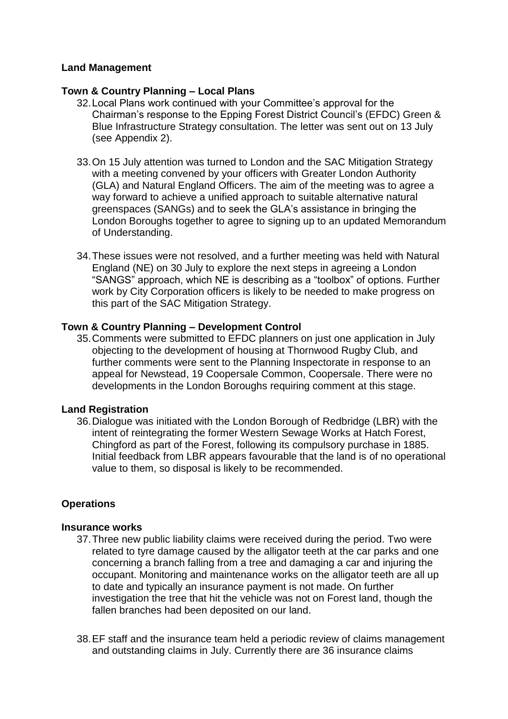## **Land Management**

### **Town & Country Planning – Local Plans**

- 32.Local Plans work continued with your Committee's approval for the Chairman's response to the Epping Forest District Council's (EFDC) Green & Blue Infrastructure Strategy consultation. The letter was sent out on 13 July (see Appendix 2).
- 33.On 15 July attention was turned to London and the SAC Mitigation Strategy with a meeting convened by your officers with Greater London Authority (GLA) and Natural England Officers. The aim of the meeting was to agree a way forward to achieve a unified approach to suitable alternative natural greenspaces (SANGs) and to seek the GLA's assistance in bringing the London Boroughs together to agree to signing up to an updated Memorandum of Understanding.
- 34.These issues were not resolved, and a further meeting was held with Natural England (NE) on 30 July to explore the next steps in agreeing a London "SANGS" approach, which NE is describing as a "toolbox" of options. Further work by City Corporation officers is likely to be needed to make progress on this part of the SAC Mitigation Strategy.

### **Town & Country Planning – Development Control**

35.Comments were submitted to EFDC planners on just one application in July objecting to the development of housing at Thornwood Rugby Club, and further comments were sent to the Planning Inspectorate in response to an appeal for Newstead, 19 Coopersale Common, Coopersale. There were no developments in the London Boroughs requiring comment at this stage.

### **Land Registration**

36.Dialogue was initiated with the London Borough of Redbridge (LBR) with the intent of reintegrating the former Western Sewage Works at Hatch Forest, Chingford as part of the Forest, following its compulsory purchase in 1885. Initial feedback from LBR appears favourable that the land is of no operational value to them, so disposal is likely to be recommended.

### **Operations**

### **Insurance works**

- 37.Three new public liability claims were received during the period. Two were related to tyre damage caused by the alligator teeth at the car parks and one concerning a branch falling from a tree and damaging a car and injuring the occupant. Monitoring and maintenance works on the alligator teeth are all up to date and typically an insurance payment is not made. On further investigation the tree that hit the vehicle was not on Forest land, though the fallen branches had been deposited on our land.
- 38.EF staff and the insurance team held a periodic review of claims management and outstanding claims in July. Currently there are 36 insurance claims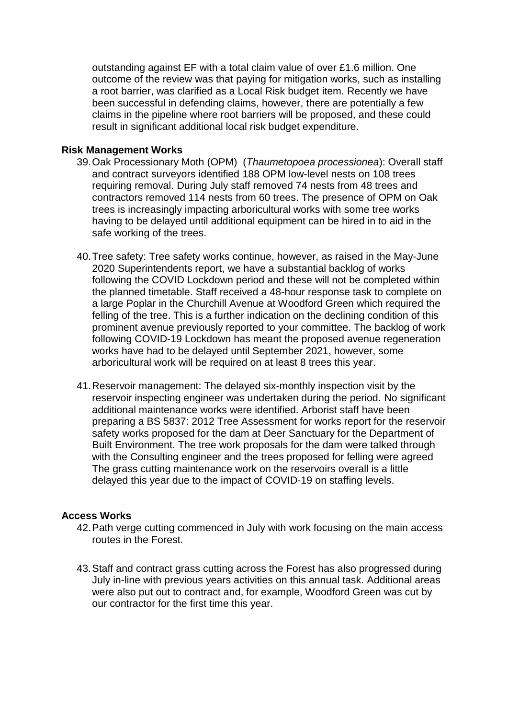outstanding against EF with a total claim value of over £1.6 million. One outcome of the review was that paying for mitigation works, such as installing a root barrier, was clarified as a Local Risk budget item. Recently we have been successful in defending claims, however, there are potentially a few claims in the pipeline where root barriers will be proposed, and these could result in significant additional local risk budget expenditure.

#### **Risk Management Works**

- 39.Oak Processionary Moth (OPM) (*Thaumetopoea processionea*): Overall staff and contract surveyors identified 188 OPM low-level nests on 108 trees requiring removal. During July staff removed 74 nests from 48 trees and contractors removed 114 nests from 60 trees. The presence of OPM on Oak trees is increasingly impacting arboricultural works with some tree works having to be delayed until additional equipment can be hired in to aid in the safe working of the trees.
- 40.Tree safety: Tree safety works continue, however, as raised in the May-June 2020 Superintendents report, we have a substantial backlog of works following the COVID Lockdown period and these will not be completed within the planned timetable. Staff received a 48-hour response task to complete on a large Poplar in the Churchill Avenue at Woodford Green which required the felling of the tree. This is a further indication on the declining condition of this prominent avenue previously reported to your committee. The backlog of work following COVID-19 Lockdown has meant the proposed avenue regeneration works have had to be delayed until September 2021, however, some arboricultural work will be required on at least 8 trees this year.
- 41.Reservoir management: The delayed six-monthly inspection visit by the reservoir inspecting engineer was undertaken during the period. No significant additional maintenance works were identified. Arborist staff have been preparing a BS 5837: 2012 Tree Assessment for works report for the reservoir safety works proposed for the dam at Deer Sanctuary for the Department of Built Environment. The tree work proposals for the dam were talked through with the Consulting engineer and the trees proposed for felling were agreed The grass cutting maintenance work on the reservoirs overall is a little delayed this year due to the impact of COVID-19 on staffing levels.

### **Access Works**

- 42.Path verge cutting commenced in July with work focusing on the main access routes in the Forest.
- 43.Staff and contract grass cutting across the Forest has also progressed during July in-line with previous years activities on this annual task. Additional areas were also put out to contract and, for example, Woodford Green was cut by our contractor for the first time this year.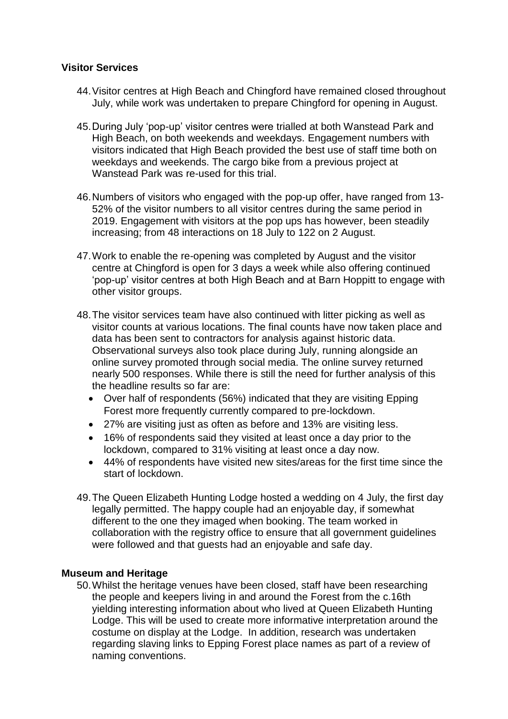### **Visitor Services**

- 44.Visitor centres at High Beach and Chingford have remained closed throughout July, while work was undertaken to prepare Chingford for opening in August.
- 45.During July 'pop-up' visitor centres were trialled at both Wanstead Park and High Beach, on both weekends and weekdays. Engagement numbers with visitors indicated that High Beach provided the best use of staff time both on weekdays and weekends. The cargo bike from a previous project at Wanstead Park was re-used for this trial.
- 46.Numbers of visitors who engaged with the pop-up offer, have ranged from 13- 52% of the visitor numbers to all visitor centres during the same period in 2019. Engagement with visitors at the pop ups has however, been steadily increasing; from 48 interactions on 18 July to 122 on 2 August.
- 47.Work to enable the re-opening was completed by August and the visitor centre at Chingford is open for 3 days a week while also offering continued 'pop-up' visitor centres at both High Beach and at Barn Hoppitt to engage with other visitor groups.
- 48.The visitor services team have also continued with litter picking as well as visitor counts at various locations. The final counts have now taken place and data has been sent to contractors for analysis against historic data. Observational surveys also took place during July, running alongside an online survey promoted through social media. The online survey returned nearly 500 responses. While there is still the need for further analysis of this the headline results so far are:
	- Over half of respondents (56%) indicated that they are visiting Epping Forest more frequently currently compared to pre-lockdown.
	- 27% are visiting just as often as before and 13% are visiting less.
	- 16% of respondents said they visited at least once a day prior to the lockdown, compared to 31% visiting at least once a day now.
	- 44% of respondents have visited new sites/areas for the first time since the start of lockdown.
- 49.The Queen Elizabeth Hunting Lodge hosted a wedding on 4 July, the first day legally permitted. The happy couple had an enjoyable day, if somewhat different to the one they imaged when booking. The team worked in collaboration with the registry office to ensure that all government guidelines were followed and that guests had an enjoyable and safe day.

### **Museum and Heritage**

50.Whilst the heritage venues have been closed, staff have been researching the people and keepers living in and around the Forest from the c.16th yielding interesting information about who lived at Queen Elizabeth Hunting Lodge. This will be used to create more informative interpretation around the costume on display at the Lodge. In addition, research was undertaken regarding slaving links to Epping Forest place names as part of a review of naming conventions.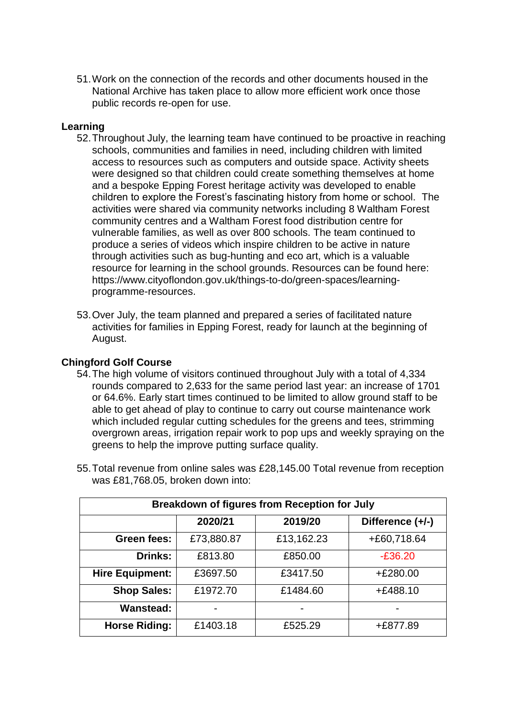51.Work on the connection of the records and other documents housed in the National Archive has taken place to allow more efficient work once those public records re-open for use.

### **Learning**

- 52.Throughout July, the learning team have continued to be proactive in reaching schools, communities and families in need, including children with limited access to resources such as computers and outside space. Activity sheets were designed so that children could create something themselves at home and a bespoke Epping Forest heritage activity was developed to enable children to explore the Forest's fascinating history from home or school. The activities were shared via community networks including 8 Waltham Forest community centres and a Waltham Forest food distribution centre for vulnerable families, as well as over 800 schools. The team continued to produce a series of videos which inspire children to be active in nature through activities such as bug-hunting and eco art, which is a valuable resource for learning in the school grounds. Resources can be found here: [https://www.cityoflondon.gov.uk/things-to-do/green-spaces/learning](https://gbr01.safelinks.protection.outlook.com/?url=https%3A%2F%2Fwww.cityoflondon.gov.uk%2Fthings-to-do%2Fgreen-spaces%2Flearning-programme-resources&data=01%7C01%7C%7Caba6da4be4364f9642ef08d840591bf5%7C9fe658cdb3cd405685193222ffa96be8%7C1&sdata=ZNNNnKgzhA5nXsaVvp5%2BIQMO4k3TTLMvEhLb%2BS%2BjJBI%3D&reserved=0)[programme-resources.](https://gbr01.safelinks.protection.outlook.com/?url=https%3A%2F%2Fwww.cityoflondon.gov.uk%2Fthings-to-do%2Fgreen-spaces%2Flearning-programme-resources&data=01%7C01%7C%7Caba6da4be4364f9642ef08d840591bf5%7C9fe658cdb3cd405685193222ffa96be8%7C1&sdata=ZNNNnKgzhA5nXsaVvp5%2BIQMO4k3TTLMvEhLb%2BS%2BjJBI%3D&reserved=0)
- 53.Over July, the team planned and prepared a series of facilitated nature activities for families in Epping Forest, ready for launch at the beginning of August.

### **Chingford Golf Course**

54.The high volume of visitors continued throughout July with a total of 4,334 rounds compared to 2,633 for the same period last year: an increase of 1701 or 64.6%. Early start times continued to be limited to allow ground staff to be able to get ahead of play to continue to carry out course maintenance work which included regular cutting schedules for the greens and tees, strimming overgrown areas, irrigation repair work to pop ups and weekly spraying on the greens to help the improve putting surface quality.

| <b>Breakdown of figures from Reception for July</b> |            |            |                  |
|-----------------------------------------------------|------------|------------|------------------|
|                                                     | 2020/21    | 2019/20    | Difference (+/-) |
| Green fees:                                         | £73,880.87 | £13,162.23 | +£60,718.64      |
| <b>Drinks:</b>                                      | £813.80    | £850.00    | $-£36.20$        |
| <b>Hire Equipment:</b>                              | £3697.50   | £3417.50   | $+£280.00$       |
| <b>Shop Sales:</b>                                  | £1972.70   | £1484.60   | $+£488.10$       |
| <b>Wanstead:</b>                                    |            |            |                  |
| <b>Horse Riding:</b>                                | £1403.18   | £525.29    | +£877.89         |

55.Total revenue from online sales was £28,145.00 Total revenue from reception was £81,768.05, broken down into: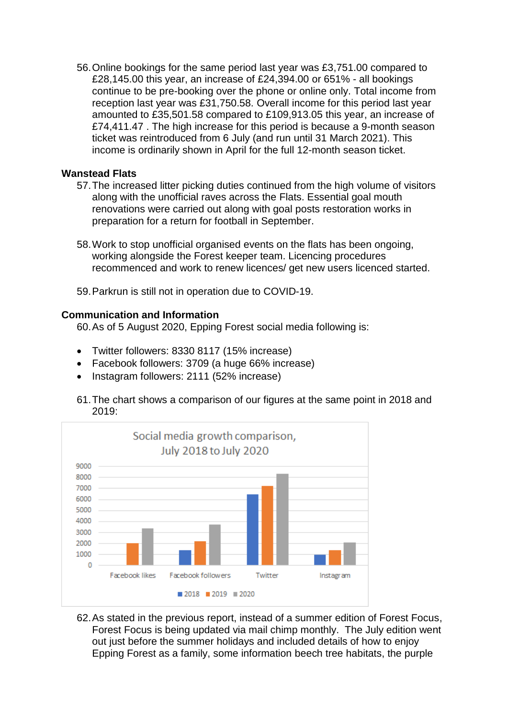56.Online bookings for the same period last year was £3,751.00 compared to £28,145.00 this year, an increase of £24,394.00 or 651% - all bookings continue to be pre-booking over the phone or online only. Total income from reception last year was £31,750.58. Overall income for this period last year amounted to £35,501.58 compared to £109,913.05 this year, an increase of £74,411.47 . The high increase for this period is because a 9-month season ticket was reintroduced from 6 July (and run until 31 March 2021). This income is ordinarily shown in April for the full 12-month season ticket.

#### **Wanstead Flats**

- 57.The increased litter picking duties continued from the high volume of visitors along with the unofficial raves across the Flats. Essential goal mouth renovations were carried out along with goal posts restoration works in preparation for a return for football in September.
- 58.Work to stop unofficial organised events on the flats has been ongoing, working alongside the Forest keeper team. Licencing procedures recommenced and work to renew licences/ get new users licenced started.
- 59.Parkrun is still not in operation due to COVID-19.

#### **Communication and Information**

60.As of 5 August 2020, Epping Forest social media following is:

- Twitter followers: 8330 8117 (15% increase)
- Facebook followers: 3709 (a huge 66% increase)
- Instagram followers: 2111 (52% increase)
- 61.The chart shows a comparison of our figures at the same point in 2018 and 2019:



62.As stated in the previous report, instead of a summer edition of Forest Focus, Forest Focus is being updated via mail chimp monthly. The July edition went out just before the summer holidays and included details of how to enjoy Epping Forest as a family, some information beech tree habitats, the purple